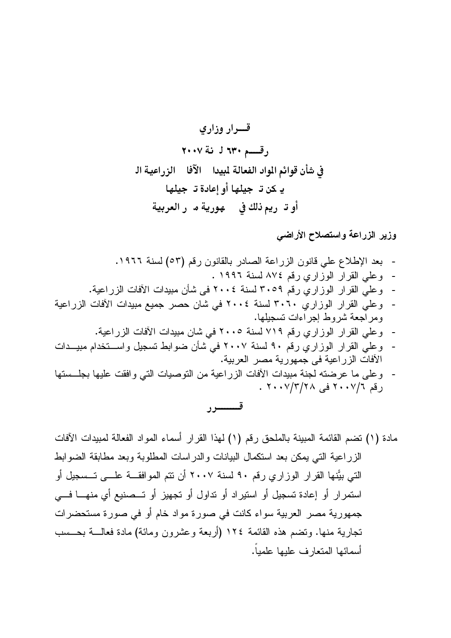وزير الزراعة واستصلاح الأراضى

- بعد الإطلاع على قانون الزراعة الصادر بالقانون رقم (٥٣) لسنة ١٩٦٦. - وعلي القرار الوزاري رقم ٨٧٤ لسنة ١٩٩٦ . - وعلى القرار الوزاري رقم ٣٠٥٩ لسنة ٢٠٠٤ في شأن مبيدات الآفات الزراعية. - وعلى القرار الوزاري ٣٠٦٠ لسنة ٢٠٠٤ في شان حصر جميع مبيدات الأفات الزراعية ومراجعة شروط إجراءات تسجيلها. وعلى القرار الوزاري رقم ٧١٩ لسنة ٢٠٠٥ في شان مبيدات الآفات الزراعية. وعلى القرار الوزاري رقم ٩٠ لسنة ٢٠٠٧ في شأن ضوابط تسجيل واستخدام مبيــدات  $\sim$
- الآفات الزر اعية في جمهورية مصر العربية. - وعلى ما عرضته لجنة مبيدات الأفات الزراعية من التوصيات التي وافقت عليها بجلــستها
- رقم ٢٠٠٧/٣/٢٨ في ٢٠٠٧/٣/٢٠٠

مادة (١) نضم القائمة المبينة بالملحق رقم (١) لهذا القرار أسماء المواد الفعالة لمبيدات الآفات الزراعية التي بمكن بعد استكمال البيانات والدراسات المطلوبة وبعد مطابقة الضوابط التي بيَّنها القرار الوزاري رقم ٩٠ لسنة ٢٠٠٧ أن تتم الموافقـــة علــــي تـــسجيل أو استمرار أو إعادة تسجيل أو استيراد أو تداول أو تجهيز أو تـــصنيع أي منهــــا فــــى جمهورية مصر العربية سواء كانت في صورة مواد خام أو في صورة مستحضرات تجارية منها. ونضم هذه القائمة ١٢٤ (أربعة وعشرون ومائة) مادة فعالـــة بـحـــسب أسمائها المتعارف عليها علمياً.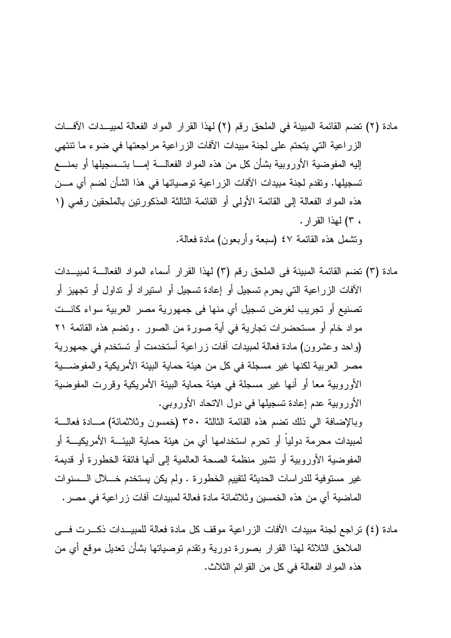مادة (٤) تراجع لجنة مبيدات الآفات الزراعية موقف كل مادة فعالة للمبيــدات ذكـــرت فـــي الملاحق الثلاثة لهذا القرار بصورة دورية ونقدم نوصياتها بشأن نعديل موقع أي من هذه المواد الفعالة في كل من القوائم الثلاث.